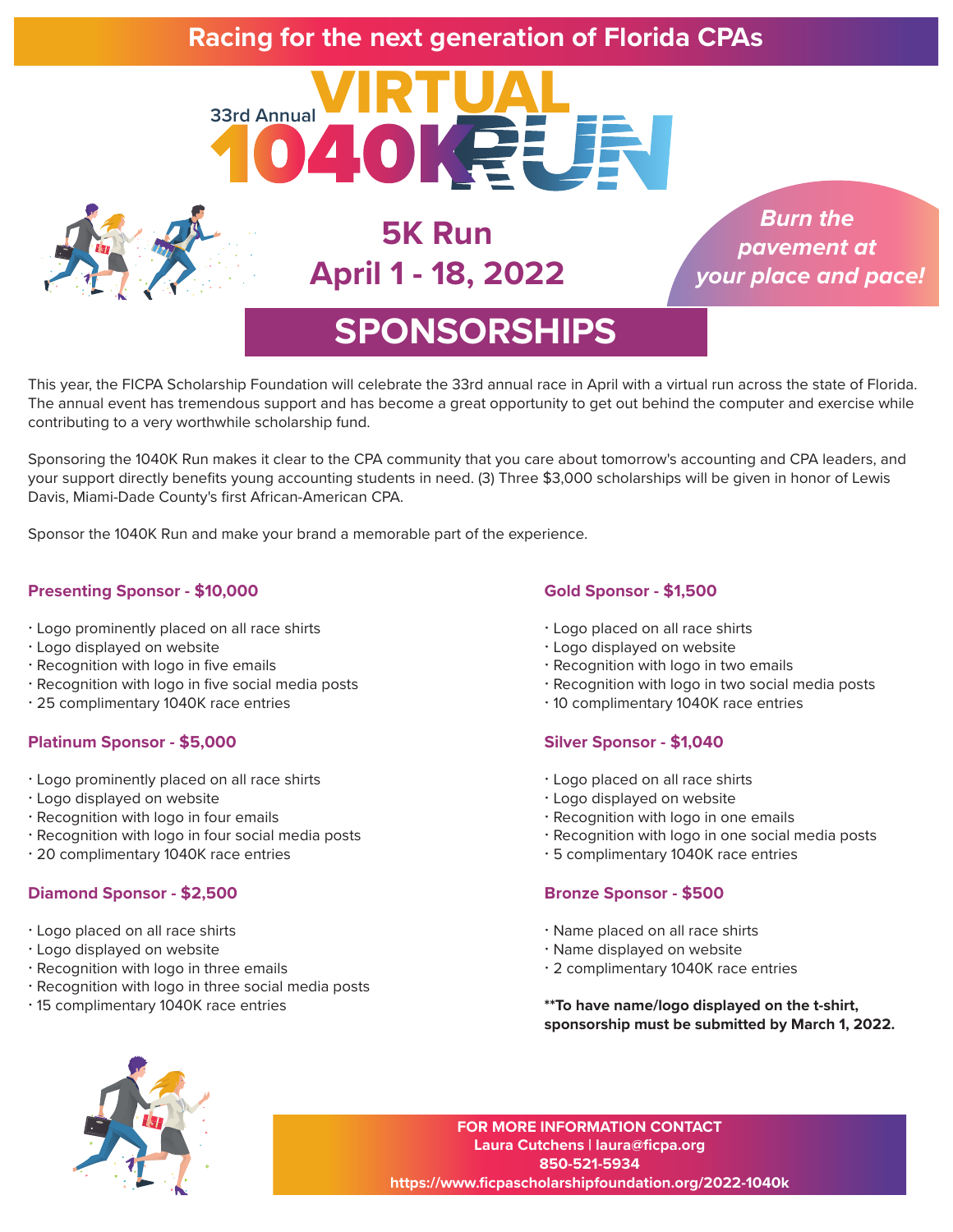### **Racing for the next generation of Florida CPAs**





**5K Run April 1 - 18, 2022**

*Burn the pavement at your place and pace!*

## **SPONSORSHIPS**

This year, the FICPA Scholarship Foundation will celebrate the 33rd annual race in April with a virtual run across the state of Florida. The annual event has tremendous support and has become a great opportunity to get out behind the computer and exercise while contributing to a very worthwhile scholarship fund.

Sponsoring the 1040K Run makes it clear to the CPA community that you care about tomorrow's accounting and CPA leaders, and your support directly benefits young accounting students in need. (3) Three \$3,000 scholarships will be given in honor of Lewis Davis, Miami-Dade County's first African-American CPA.

Sponsor the 1040K Run and make your brand a memorable part of the experience.

#### **Presenting Sponsor - \$10,000**

- Logo prominently placed on all race shirts
- Logo displayed on website
- Recognition with logo in five emails
- Recognition with logo in five social media posts
- 25 complimentary 1040K race entries

#### **Platinum Sponsor - \$5,000**

- Logo prominently placed on all race shirts
- Logo displayed on website
- Recognition with logo in four emails
- Recognition with logo in four social media posts
- 20 complimentary 1040K race entries

#### **Diamond Sponsor - \$2,500**

- Logo placed on all race shirts
- Logo displayed on website
- Recognition with logo in three emails
- Recognition with logo in three social media posts
- 15 complimentary 1040K race entries

#### **Gold Sponsor - \$1,500**

- Logo placed on all race shirts
- Logo displayed on website
- Recognition with logo in two emails
- Recognition with logo in two social media posts
- 10 complimentary 1040K race entries

#### **Silver Sponsor - \$1,040**

- Logo placed on all race shirts
- Logo displayed on website
- Recognition with logo in one emails
- Recognition with logo in one social media posts
- 5 complimentary 1040K race entries

#### **Bronze Sponsor - \$500**

- Name placed on all race shirts
- Name displayed on website
- 2 complimentary 1040K race entries

**\*\*To have name/logo displayed on the t-shirt, sponsorship must be submitted by March 1, 2022.**



**FOR MORE INFORMATION CONTACT Laura Cutchens | laura@ficpa.org 850-521-5934 https://www.ficpascholarshipfoundation.org/2022-1040k**